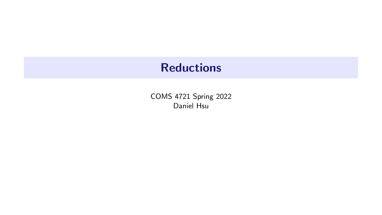# **Reductions**

COMS 4721 Spring 2022 Daniel Hsu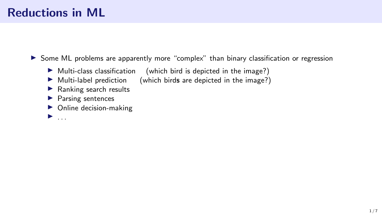# Reductions in ML

▶ Some ML problems are apparently more "complex" than binary classification or regression

- $\triangleright$  Multi-class classification (which bird is depicted in the image?)
- $\triangleright$  Multi-label prediction (which birds are depicted in the image?)
- ▶ Ranking search results
- ▶ Parsing sentences
- $\triangleright$  Online decision-making
- $\blacktriangleright$  ...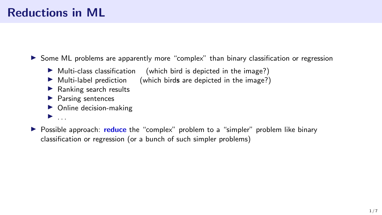▶ Some ML problems are apparently more "complex" than binary classification or regression

- $\blacktriangleright$  Multi-class classification (which bird is depicted in the image?)
- $\triangleright$  Multi-label prediction (which birds are depicted in the image?)
- $\blacktriangleright$  Ranking search results
- ▶ Parsing sentences
- $\triangleright$  Online decision-making
- $\blacktriangleright$  ...
- ▶ Possible approach: reduce the "complex" problem to a "simpler" problem like binary classification or regression (or a bunch of such simpler problems)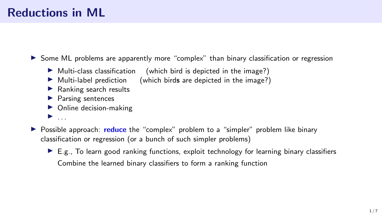▶ Some ML problems are apparently more "complex" than binary classification or regression

- $\blacktriangleright$  Multi-class classification (which bird is depicted in the image?)
- $\triangleright$  Multi-label prediction (which birds are depicted in the image?)
- $\blacktriangleright$  Ranking search results
- ▶ Parsing sentences
- $\triangleright$  Online decision-making
- $\blacktriangleright$  . . .
- ▶ Possible approach: reduce the "complex" problem to a "simpler" problem like binary classification or regression (or a bunch of such simpler problems)
	- $\triangleright$  E.g., To learn good ranking functions, exploit technology for learning binary classifiers Combine the learned binary classifiers to form a ranking function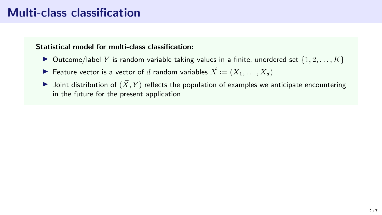## Multi-class classification

#### Statistical model for multi-class classification:

- $\triangleright$  Outcome/label Y is random variable taking values in a finite, unordered set  $\{1, 2, \ldots, K\}$
- ▶ Feature vector is a vector of d random variables  $\vec{X} := (X_1, \ldots, X_d)$
- $\blacktriangleright$  Joint distribution of  $(\vec{X}, Y)$  reflects the population of examples we anticipate encountering in the future for the present application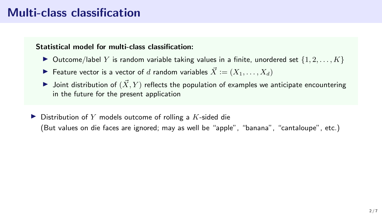## Multi-class classification

#### Statistical model for multi-class classification:

- $\triangleright$  Outcome/label Y is random variable taking values in a finite, unordered set  $\{1, 2, \ldots, K\}$
- ▶ Feature vector is a vector of d random variables  $\vec{X} := (X_1, \ldots, X_d)$
- $\blacktriangleright$  Joint distribution of  $(\vec{X}, Y)$  reflects the population of examples we anticipate encountering in the future for the present application
- $\blacktriangleright$  Distribution of Y models outcome of rolling a K-sided die (But values on die faces are ignored; may as well be "apple", "banana", "cantaloupe", etc.)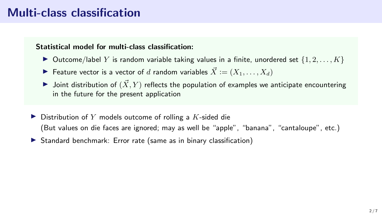## Multi-class classification

#### Statistical model for multi-class classification:

- $\blacktriangleright$  Outcome/label Y is random variable taking values in a finite, unordered set  $\{1, 2, \ldots, K\}$
- ▶ Feature vector is a vector of d random variables  $\vec{X} := (X_1, \ldots, X_d)$
- $\blacktriangleright$  Joint distribution of  $(\vec{X}, Y)$  reflects the population of examples we anticipate encountering in the future for the present application
- $\blacktriangleright$  Distribution of Y models outcome of rolling a K-sided die (But values on die faces are ignored; may as well be "apple", "banana", "cantaloupe", etc.)
- ▶ Standard benchmark: Error rate (same as in binary classification)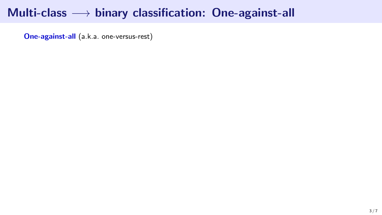# Multi-class  $→$  binary classification: One-against-all

One-against-all (a.k.a. one-versus-rest)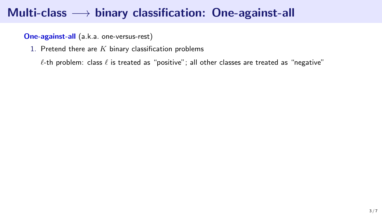One-against-all (a.k.a. one-versus-rest)

1. Pretend there are  $K$  binary classification problems

 $\ell$ -th problem: class  $\ell$  is treated as "positive"; all other classes are treated as "negative"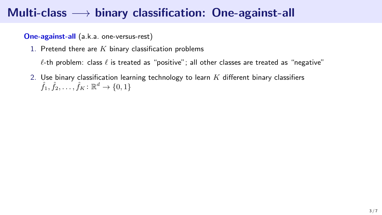One-against-all (a.k.a. one-versus-rest)

1. Pretend there are  $K$  binary classification problems

 $\ell$ -th problem: class  $\ell$  is treated as "positive"; all other classes are treated as "negative"

2. Use binary classification learning technology to learn  $K$  different binary classifiers  $\hat{f}_1, \hat{f}_2, \ldots, \hat{f}_K \colon \mathbb{R}^d \to \{0,1\}$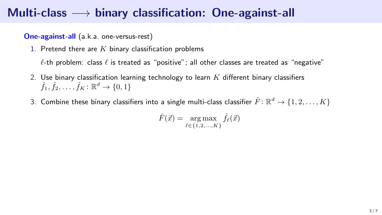One-against-all (a.k.a. one-versus-rest)

1. Pretend there are  $K$  binary classification problems

 $\ell$ -th problem: class  $\ell$  is treated as "positive"; all other classes are treated as "negative"

- 2. Use binary classification learning technology to learn  $K$  different binary classifiers  $\hat{f}_1, \hat{f}_2, \ldots, \hat{f}_K \colon \mathbb{R}^d \to \{0,1\}$
- 3. Combine these binary classifiers into a single multi-class classifier  $\hat{F}\colon\mathbb{R}^d\to\{1,2,\ldots,K\}$

$$
\hat{F}(\vec{x}) = \underset{\ell \in \{1, 2, \ldots, K\}}{\arg \max} \hat{f}_{\ell}(\vec{x})
$$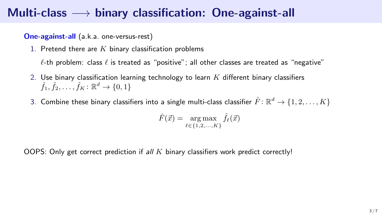One-against-all (a.k.a. one-versus-rest)

1. Pretend there are  $K$  binary classification problems

 $\ell$ -th problem: class  $\ell$  is treated as "positive"; all other classes are treated as "negative"

- 2. Use binary classification learning technology to learn  $K$  different binary classifiers  $\hat{f}_1, \hat{f}_2, \ldots, \hat{f}_K \colon \mathbb{R}^d \to \{0,1\}$
- 3. Combine these binary classifiers into a single multi-class classifier  $\hat{F}\colon\mathbb{R}^d\to\{1,2,\ldots,K\}$

$$
\hat{F}(\vec{x}) = \underset{\ell \in \{1, 2, \ldots, K\}}{\arg \max} \hat{f}_{\ell}(\vec{x})
$$

OOPS: Only get correct prediction if all  $K$  binary classifiers work predict correctly!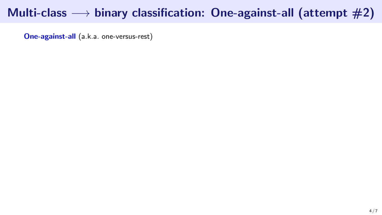One-against-all (a.k.a. one-versus-rest)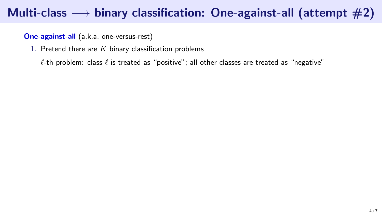One-against-all (a.k.a. one-versus-rest)

1. Pretend there are  $K$  binary classification problems

 $\ell$ -th problem: class  $\ell$  is treated as "positive"; all other classes are treated as "negative"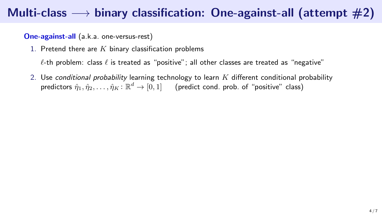One-against-all (a.k.a. one-versus-rest)

1. Pretend there are  $K$  binary classification problems

 $\ell$ -th problem: class  $\ell$  is treated as "positive"; all other classes are treated as "negative"

2. Use conditional probability learning technology to learn  $K$  different conditional probability predictors  $\hat{\eta}_1, \hat{\eta}_2, \ldots, \hat{\eta}_K \colon \mathbb{R}^d \to [0,1]$  (predict cond. prob. of "positive" class)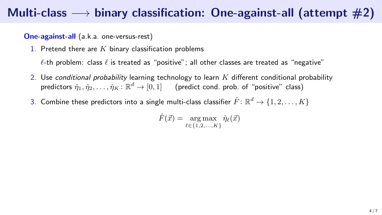One-against-all (a.k.a. one-versus-rest)

1. Pretend there are  $K$  binary classification problems

 $\ell$ -th problem: class  $\ell$  is treated as "positive"; all other classes are treated as "negative"

- 2. Use conditional probability learning technology to learn  $K$  different conditional probability predictors  $\hat{\eta}_1, \hat{\eta}_2, \ldots, \hat{\eta}_K \colon \mathbb{R}^d \to [0,1]$  (predict cond. prob. of "positive" class)
- 3. Combine these predictors into a single multi-class classifier  $\hat{F}\colon \mathbb{R}^d \to \{1,2,\ldots,K\}$

 $\hat{F}(\vec{x}) = \arg \max \ \hat{\eta}_{\ell}(\vec{x})$  $l \in \{1, 2, ..., K\}$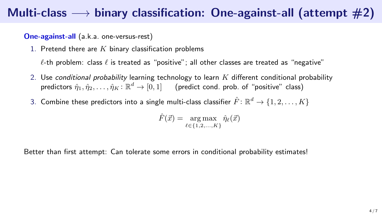One-against-all (a.k.a. one-versus-rest)

1. Pretend there are  $K$  binary classification problems

 $\ell$ -th problem: class  $\ell$  is treated as "positive"; all other classes are treated as "negative"

- 2. Use conditional probability learning technology to learn  $K$  different conditional probability predictors  $\hat{\eta}_1, \hat{\eta}_2, \ldots, \hat{\eta}_K \colon \mathbb{R}^d \to [0,1]$  (predict cond. prob. of "positive" class)
- 3. Combine these predictors into a single multi-class classifier  $\hat{F}\colon \mathbb{R}^d \to \{1,2,\ldots,K\}$

 $\hat{F}(\vec{x}) = \arg \max \ \hat{\eta}_{\ell}(\vec{x})$  $\ell \in \{1, 2, ..., K\}$ 

Better than first attempt: Can tolerate some errors in conditional probability estimates!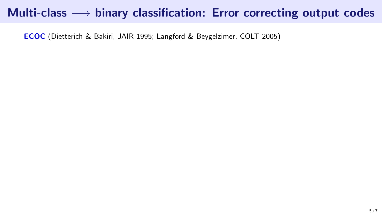ECOC (Dietterich & Bakiri, JAIR 1995; Langford & Beygelzimer, COLT 2005)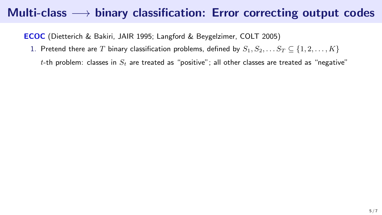ECOC (Dietterich & Bakiri, JAIR 1995; Langford & Beygelzimer, COLT 2005)

1. Pretend there are T binary classification problems, defined by  $S_1, S_2, \ldots S_T \subseteq \{1, 2, \ldots, K\}$ 

t-th problem: classes in  $S_t$  are treated as "positive"; all other classes are treated as "negative"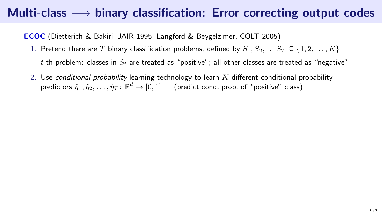ECOC (Dietterich & Bakiri, JAIR 1995; Langford & Beygelzimer, COLT 2005)

- 1. Pretend there are T binary classification problems, defined by  $S_1, S_2, \ldots S_T \subseteq \{1, 2, \ldots, K\}$ t-th problem: classes in  $S_t$  are treated as "positive"; all other classes are treated as "negative"
- 2. Use conditional probability learning technology to learn  $K$  different conditional probability predictors  $\hat{\eta}_1, \hat{\eta}_2, \ldots, \hat{\eta}_T \colon \mathbb{R}^d \to [0,1]$  (predict cond. prob. of "positive" class)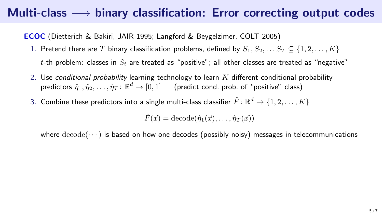ECOC (Dietterich & Bakiri, JAIR 1995; Langford & Beygelzimer, COLT 2005)

- 1. Pretend there are T binary classification problems, defined by  $S_1, S_2, \ldots S_T \subseteq \{1, 2, \ldots, K\}$ t-th problem: classes in  $S_t$  are treated as "positive"; all other classes are treated as "negative"
- 2. Use conditional probability learning technology to learn  $K$  different conditional probability predictors  $\hat{\eta}_1, \hat{\eta}_2, \ldots, \hat{\eta}_T \colon \mathbb{R}^d \to [0,1]$  (predict cond. prob. of "positive" class)
- 3. Combine these predictors into a single multi-class classifier  $\hat{F}\colon \mathbb{R}^d \to \{1,2,\ldots,K\}$

$$
\hat{F}(\vec{x}) = \text{decode}(\hat{\eta}_1(\vec{x}), \dots, \hat{\eta}_T(\vec{x}))
$$

where  $\text{decode}(\dots)$  is based on how one decodes (possibly noisy) messages in telecommunications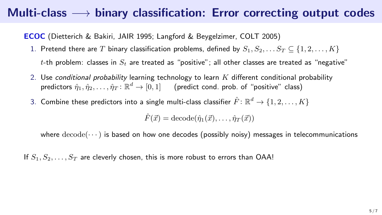ECOC (Dietterich & Bakiri, JAIR 1995; Langford & Beygelzimer, COLT 2005)

- 1. Pretend there are T binary classification problems, defined by  $S_1, S_2, \ldots S_T \subseteq \{1, 2, \ldots, K\}$ t-th problem: classes in  $S_t$  are treated as "positive"; all other classes are treated as "negative"
- 2. Use conditional probability learning technology to learn  $K$  different conditional probability predictors  $\hat{\eta}_1, \hat{\eta}_2, \ldots, \hat{\eta}_T \colon \mathbb{R}^d \to [0,1]$  (predict cond. prob. of "positive" class)
- 3. Combine these predictors into a single multi-class classifier  $\hat{F}\colon \mathbb{R}^d \to \{1,2,\ldots,K\}$

 $\hat{F}(\vec{x}) = \text{decode}(\hat{\eta}_1(\vec{x}), \dots, \hat{\eta}_T(\vec{x}))$ 

where  $\text{decode}(\dots)$  is based on how one decodes (possibly noisy) messages in telecommunications

If  $S_1, S_2, \ldots, S_T$  are cleverly chosen, this is more robust to errors than OAA!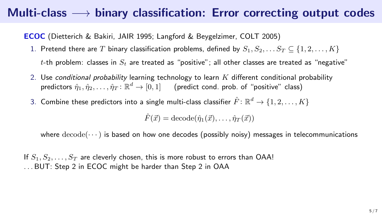ECOC (Dietterich & Bakiri, JAIR 1995; Langford & Beygelzimer, COLT 2005)

- 1. Pretend there are T binary classification problems, defined by  $S_1, S_2, \ldots S_T \subseteq \{1, 2, \ldots, K\}$ t-th problem: classes in  $S_t$  are treated as "positive"; all other classes are treated as "negative"
- 2. Use conditional probability learning technology to learn  $K$  different conditional probability predictors  $\hat{\eta}_1, \hat{\eta}_2, \ldots, \hat{\eta}_T \colon \mathbb{R}^d \to [0,1]$  (predict cond. prob. of "positive" class)
- 3. Combine these predictors into a single multi-class classifier  $\hat{F}\colon \mathbb{R}^d \to \{1,2,\ldots,K\}$

 $\hat{F}(\vec{x}) = \text{decode}(\hat{\eta}_1(\vec{x}), \dots, \hat{\eta}_T(\vec{x}))$ 

where  $\text{decode}(\dots)$  is based on how one decodes (possibly noisy) messages in telecommunications

If  $S_1, S_2, \ldots, S_T$  are cleverly chosen, this is more robust to errors than OAA! . . . BUT: Step 2 in ECOC might be harder than Step 2 in OAA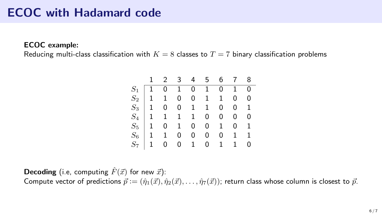## ECOC with Hadamard code

ECOC example:

Reducing multi-class classification with  $K = 8$  classes to  $T = 7$  binary classification problems

|                                                                                                                                                                                                                                                                                     |  |  | 1 2 3 4 5 6 7 8       |  |
|-------------------------------------------------------------------------------------------------------------------------------------------------------------------------------------------------------------------------------------------------------------------------------------|--|--|-----------------------|--|
|                                                                                                                                                                                                                                                                                     |  |  |                       |  |
|                                                                                                                                                                                                                                                                                     |  |  |                       |  |
| $\begin{array}{cccccccccccc} S_1 & 1 & 0 & 1 & 0 & 1 & 0 & 1 & 0 \\ S_2 & 1 & 1 & 0 & 0 & 1 & 1 & 0 & 0 \\ S_3 & 1 & 0 & 0 & 1 & 1 & 0 & 0 & 1 \\ S_4 & 1 & 1 & 1 & 1 & 0 & 0 & 0 & 0 \\ S_5 & 1 & 0 & 1 & 0 & 0 & 1 & 0 & 1 \\ S_6 & 1 & 1 & 0 & 0 & 0 & 0 & 1 & 1 \\ \end{array}$ |  |  |                       |  |
|                                                                                                                                                                                                                                                                                     |  |  |                       |  |
|                                                                                                                                                                                                                                                                                     |  |  |                       |  |
|                                                                                                                                                                                                                                                                                     |  |  |                       |  |
|                                                                                                                                                                                                                                                                                     |  |  | $S_7$ 1 0 0 1 0 1 1 0 |  |

**Decoding** (i.e, computing  $\hat{F}(\vec{x})$  for new  $\vec{x}$ ):

Compute vector of predictions  $\vec{p} := (\hat{\eta}_1(\vec{x}), \hat{\eta}_2(\vec{x}), \ldots, \hat{\eta}_7(\vec{x}))$ ; return class whose column is closest to  $\vec{p}$ .